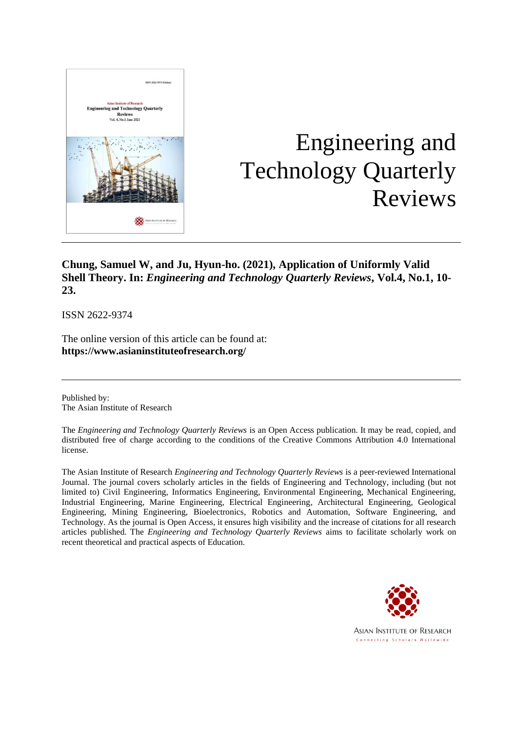

# Engineering and Technology Quarterly Reviews

# **Chung, Samuel W, and Ju, Hyun-ho. (2021), Application of Uniformly Valid Shell Theory. In:** *Engineering and Technology Quarterly Reviews***, Vol.4, No.1, 10- 23.**

ISSN 2622-9374

The online version of this article can be found at: **https://www.asianinstituteofresearch.org/**

Published by: The Asian Institute of Research

The *Engineering and Technology Quarterly Reviews* is an Open Access publication. It may be read, copied, and distributed free of charge according to the conditions of the Creative Commons Attribution 4.0 International license.

The Asian Institute of Research *Engineering and Technology Quarterly Reviews* is a peer-reviewed International Journal. The journal covers scholarly articles in the fields of Engineering and Technology, including (but not limited to) Civil Engineering, Informatics Engineering, Environmental Engineering, Mechanical Engineering, Industrial Engineering, Marine Engineering, Electrical Engineering, Architectural Engineering, Geological Engineering, Mining Engineering, Bioelectronics, Robotics and Automation, Software Engineering, and Technology. As the journal is Open Access, it ensures high visibility and the increase of citations for all research articles published. The *Engineering and Technology Quarterly Reviews* aims to facilitate scholarly work on recent theoretical and practical aspects of Education.



**ASIAN INSTITUTE OF RESEARCH** Connecting Scholars Worldwide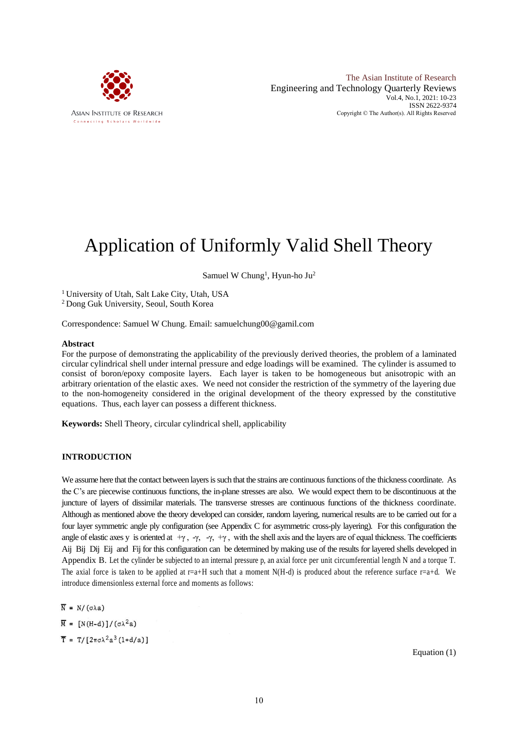

The Asian Institute of Research Engineering and Technology Quarterly Reviews Vol.4, No.1, 2021: 10-23 ISSN 2622-9374 Copyright © The Author(s). All Rights Reserved

# Application of Uniformly Valid Shell Theory

Samuel W Chung<sup>1</sup>, Hyun-ho Ju<sup>2</sup>

<sup>1</sup> University of Utah, Salt Lake City, Utah, USA <sup>2</sup> Dong Guk University, Seoul, South Korea

Correspondence: Samuel W Chung. Email: samuelchung00@gamil.com

#### **Abstract**

For the purpose of demonstrating the applicability of the previously derived theories, the problem of a laminated circular cylindrical shell under internal pressure and edge loadings will be examined. The cylinder is assumed to consist of boron/epoxy composite layers. Each layer is taken to be homogeneous but anisotropic with an arbitrary orientation of the elastic axes. We need not consider the restriction of the symmetry of the layering due to the non-homogeneity considered in the original development of the theory expressed by the constitutive equations. Thus, each layer can possess a different thickness.

**Keywords:** Shell Theory, circular cylindrical shell, applicability

# **INTRODUCTION**

We assume here that the contact between layers is such that the strains are continuous functions of the thickness coordinate. As the C's are piecewise continuous functions, the in-plane stresses are also. We would expect them to be discontinuous at the juncture of layers of dissimilar materials. The transverse stresses are continuous functions of the thickness coordinate. Although as mentioned above the theory developed can consider, random layering, numerical results are to be carried out for a four layer symmetric angle ply configuration (see Appendix C for asymmetric cross-ply layering). For this configuration the angle of elastic axes y is oriented at  $+\gamma$ ,  $-\gamma$ ,  $-\gamma$ ,  $+\gamma$ , with the shell axis and the layers are of equal thickness. The coefficients Aij Bij Dij Eij and Fij for this configuration can be determined by making use of the results for layered shells developed in Appendix B. Let the cylinder be subjected to an internal pressure p, an axial force per unit circumferential length N and a torque T. The axial force is taken to be applied at  $r=a+H$  such that a moment N(H-d) is produced about the reference surface  $r=a+d$ . We introduce dimensionless external force and moments as follows:

 $\overline{N} = N/(\sigma \lambda a)$ 

 $\overline{M} = [N(H-d)]/(\sigma \lambda^2 a)$ 

 $\bar{T} = T/[2πσλ<sup>2</sup>a<sup>3</sup>(1+d/a)]$ 

Equation (1)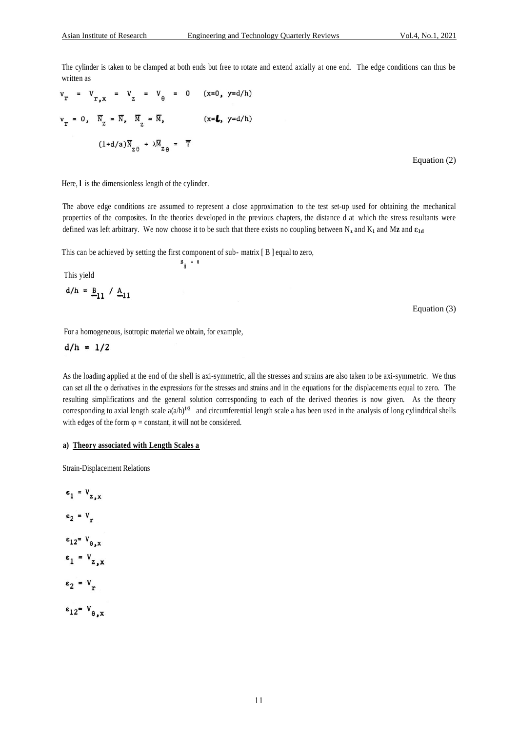The cylinder is taken to be clamped at both ends but free to rotate and extend axially at one end. The edge conditions can thus be written as

$$
vr = Vr,x = V2 = Vθ = 0 (x=0, y=d/h)
$$
  

$$
vr = 0, \overline{N}2 = \overline{N}, \overline{M}2 = \overline{M}, (x=L, y=d/h)
$$
  

$$
(1+d/a)\overline{N}2θ + \lambda \overline{M}2θ = \overline{T}
$$

Equation (2)

Here, I is the dimensionless length of the cylinder.

The above edge conditions are assumed to represent a close approximation to the test set-up used for obtaining the mechanical properties of the composites. In the theories developed in the previous chapters, the distance d at which the stress resultants were defined was left arbitrary. We now choose it to be such that there exists no coupling between N**<sup>z</sup>** and K**<sup>1</sup>** and M**z** and **ε1d**

This can be achieved by setting the first component of sub- matrix [ B ] equal to zero, **B ij = 0**

This yield

$$
d/h = \underline{B}_{11} / \underline{A}_{11}
$$

Equation (3)

For a homogeneous, isotropic material we obtain, for example,

 $d/h = 1/2$ 

As the loading applied at the end of the shell is axi-symmetric, all the stresses and strains are also taken to be axi-symmetric. We thus can set all the φ derivatives in the expressions for the stresses and strains and in the equations for the displacements equal to zero. The resulting simplifications and the general solution corresponding to each of the derived theories is now given. As the theory corresponding to axial length scale  $a(a/h)^{1/2}$  and circumferential length scale a has been used in the analysis of long cylindrical shells with edges of the form  $\varphi$  = constant, it will not be considered.

#### **a) Theory associated with Length Scales a**

Strain-Displacement Relations

 $\varepsilon_1 = V_{z,x}$  $\varepsilon_2 = V_T$  $\varepsilon_{12}$  =  $V_{\theta, x}$  $\varepsilon_1 = V_{z,x}$  $\varepsilon_2 = V_r$  $\varepsilon_{12} = V_{\theta, x}$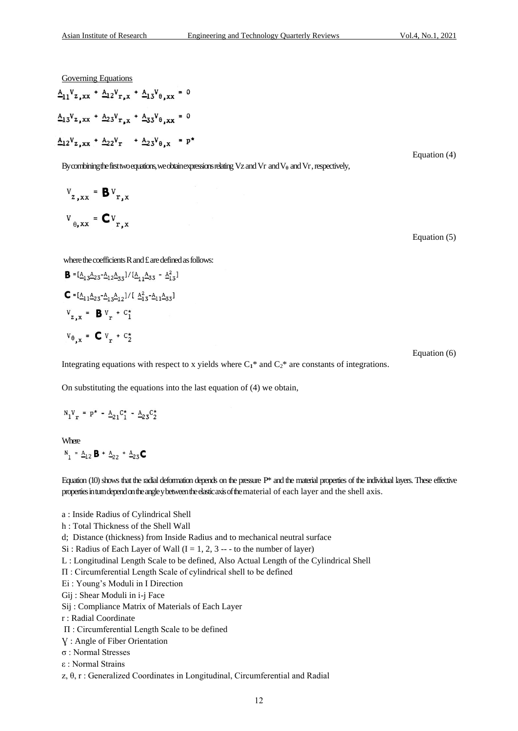Governing Equations

$$
\frac{A_{11}V_{z,xx} + A_{12}V_{r,x} + A_{13}V_{\theta,xx}}{A_{13}V_{z,xx} + A_{23}V_{r,x} + A_{33}V_{\theta,xx}} = 0
$$
\n
$$
\frac{A_{12}V_{z,xx} + A_{22}V_{r} + A_{23}V_{\theta,xx}}{A_{12}V_{z,xx} + A_{22}V_{r} + A_{23}V_{\theta,xx}} = p^*
$$
\nEquation (4)

By combining the first two equations, we obtain expressions relating Vz and Vr and V<sub>θ</sub> and Vr, respectively,

$$
v_{z,xx} = \mathbf{B} v_{r,x}
$$

$$
v_{\theta,xx} = \mathbf{C} v_{r,x}
$$

Equation (5)

where the coefficients R and £ are defined as follows:

**B** = 
$$
[\underline{A}_{13} \underline{A}_{23} - \underline{A}_{12} \underline{A}_{33}] / [\underline{A}_{11} \underline{A}_{33} - \underline{A}_{13}^2]
$$
  
\n**C** = 
$$
[\underline{A}_{11} \underline{A}_{23} - \underline{A}_{13} \underline{A}_{12}] / [\underline{A}_{13}^2 - \underline{A}_{11} \underline{A}_{33}]
$$
  
\n
$$
V_{z, x} = \underline{B} V_{r} + C_{1}^{*}
$$
  
\n
$$
V_{\theta, x} = \underline{C} V_{r} + C_{2}^{*}
$$
  
\nEquation (6)

Integrating equations with respect to x yields where  $C_1^*$  and  $C_2^*$  are constants of integrations.

On substituting the equations into the last equation of (4) we obtain,

$$
N_1V_r = p^* - A_{21}C_1^* - A_{23}C_2^*
$$

**Where** 

 $N_1 = A_{12} B + A_{22} + A_{23} C$ 

Equation (10) shows that the radial deformation depends on the pressure P\* and the material properties of the individual layers. These effective properties in turn depend on the angle y between the elastic axis of the material of each layer and the shell axis.

- a : Inside Radius of Cylindrical Shell
- h : Total Thickness of the Shell Wall
- d; Distance (thickness) from Inside Radius and to mechanical neutral surface
- Si : Radius of Each Layer of Wall  $(I = 1, 2, 3 --$  to the number of layer)
- L : Longitudinal Length Scale to be defined, Also Actual Length of the Cylindrical Shell
- Π : Circumferential Length Scale of cylindrical shell to be defined
- Ei : Young's Moduli in I Direction
- Gij : Shear Moduli in i-j Face
- Sij : Compliance Matrix of Materials of Each Layer
- r : Radial Coordinate
- Π : Circumferential Length Scale to be defined
- Ɣ : Angle of Fiber Orientation
- σ : Normal Stresses
- ε : Normal Strains
- z, θ, r : Generalized Coordinates in Longitudinal, Circumferential and Radial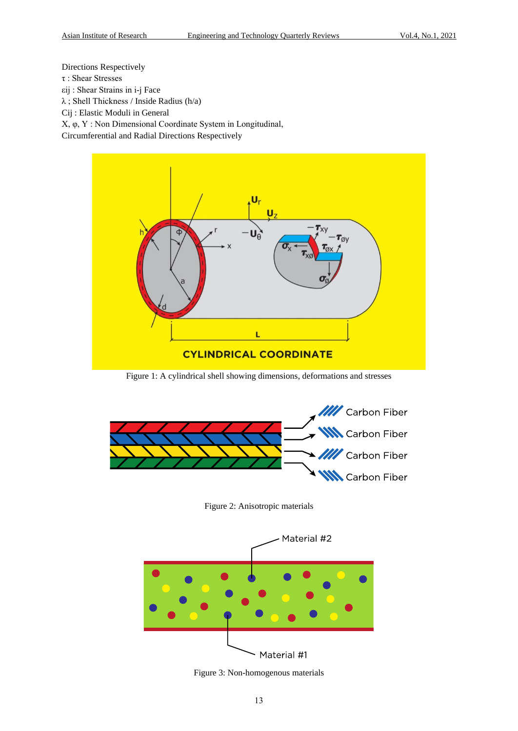Directions Respectively

- τ : Shear Stresses
- εij : Shear Strains in i-j Face

λ ; Shell Thickness / Inside Radius (h/a)

Cij : Elastic Moduli in General

X, φ, Y : Non Dimensional Coordinate System in Longitudinal,

Circumferential and Radial Directions Respectively



Figure 1: A cylindrical shell showing dimensions, deformations and stresses



Figure 2: Anisotropic materials



Figure 3: Non-homogenous materials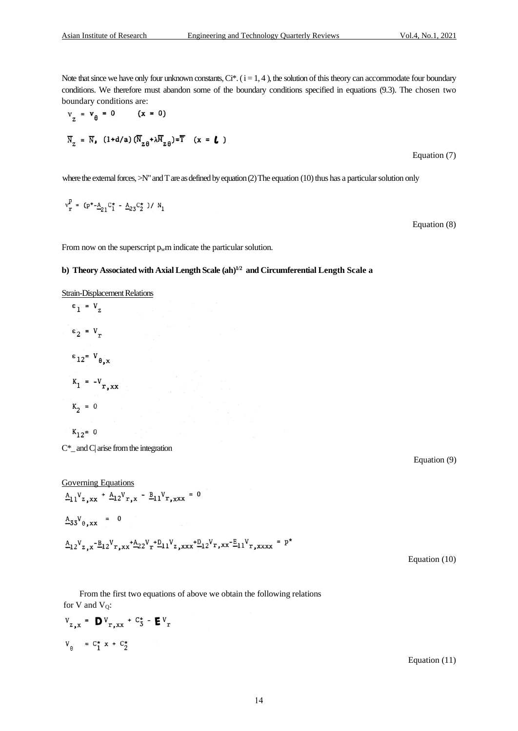Note that since we have only four unknown constants,  $Ci^*$ . ( $i = 1, 4$ ), the solution of this theory can accommodate four boundary conditions. We therefore must abandon some of the boundary conditions specified in equations (9.3). The chosen two boundary conditions are:

$$
v_{z} = v_{\theta} = 0 \qquad (x = 0)
$$
  

$$
\overline{N}_{z} = \overline{N}_{\bullet} \quad (1 + d/a) \left( \overline{N}_{z\theta} + \lambda \overline{M}_{z\theta} \right) = \overline{T} \quad (x = \textbf{L})
$$
  
Equation (7)

where the external forces,  $>N''$  and T are as defined by equation (2) The equation (10) thus has a particular solution only

$$
v_r^p = (p^* - A_{21}C_1^* - A_{23}C_2^*)/N_1
$$

Equation (8)

From now on the superscript  $p_w$ m indicate the particular solution.

#### **b) Theory Associated with Axial Length Scale (ah)1/2 and Circumferential Length Scale a**

Strain-Displacement Relations

$$
\varepsilon_1 = V_{Z}
$$
  
\n
$$
\varepsilon_2 = V_{T}
$$
  
\n
$$
\varepsilon_{12} = V_{\theta, x}
$$
  
\n
$$
K_1 = -V_{T, xx}
$$
  
\n
$$
K_2 = 0
$$

$$
K_{12} = 0
$$

 $C^*$  and  $C$  arise from the integration

Governing Equations<br>  $\underline{A}_{11}V_{z,xx} + \underline{A}_{12}V_{r,x} - \underline{B}_{11}V_{r,xxx} = 0$  $A_{33}V_{\theta,xx} = 0$  $A_{12}V_{z,x} - B_{12}V_{r,xx} + A_{22}V_{r} + D_{11}V_{z,xxx} + D_{12}V_{r,xx} - E_{11}V_{r,xxxx} = p^{*}$ 

Equation (9)

Equation (10)

From the first two equations of above we obtain the following relations for V and  $V_0$ :

$$
v_{z,x} = \mathbf{D} v_{r,xx} + c_3^* - \mathbf{E} v_r
$$
  

$$
v_{\theta} = c_1^* x + c_2^*
$$

Equation (11)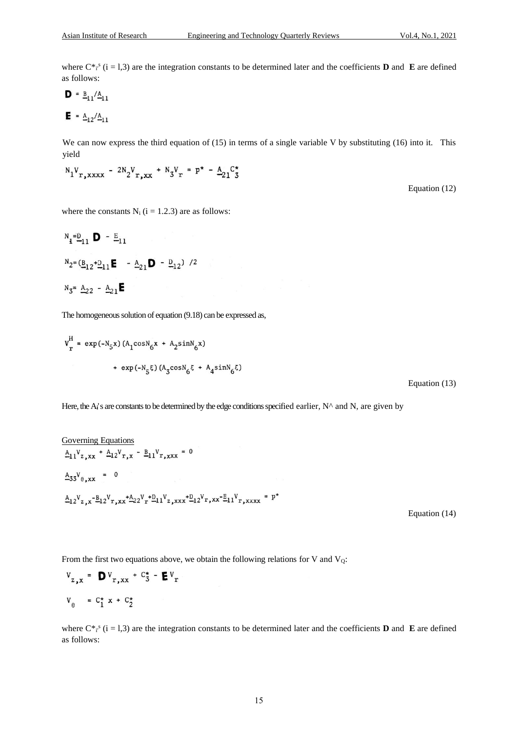where  $C^*$ <sup>s</sup> (i = 1,3) are the integration constants to be determined later and the coefficients **D** and **E** are defined as follows:

$$
\mathbf{D} = \underline{\mathbf{B}}_{11} / \underline{\mathbf{A}}_{11}
$$

$$
\mathbf{E} = \underline{\mathbf{A}}_{12} / \underline{\mathbf{A}}_{11}
$$

We can now express the third equation of (15) in terms of a single variable V by substituting (16) into it. This yield

$$
N_1V_{r,xxxx} - 2N_2V_{r,xx} + N_3V_r = p^* - \frac{A}{21}C_3^*
$$

where the constants  $N_i$  ( $i = 1.2.3$ ) are as follows:

$$
N_1 = D_1 \mathbf{D} - E_{11}
$$
  
\n
$$
N_2 = (B_{12} + D_{11} \mathbf{E} - A_{21} \mathbf{D} - D_{12}) / 2
$$
  
\n
$$
N_3 = A_{22} - A_{21} \mathbf{E}
$$

The homogeneous solution of equation (9.18) can be expressed as,

$$
v_r^H = \exp(-N_5x) (A_1 \cos N_6 x + A_2 \sin N_6 x)
$$
  
+ 
$$
\exp(-N_5 \xi) (A_3 \cos N_6 \xi + A_4 \sin N_6 \xi)
$$

Equation (13)

Here, the A<sub>i</sub>'s are constants to be determined by the edge conditions specified earlier,  $N^{\wedge}$  and N, are given by

Governing Equations<br>  $\underline{A}_{11}V_{z,xx} + \underline{A}_{12}V_{r,x} - \underline{B}_{11}V_{r,xxx} = 0$  $A_{33}V_{\theta,xx} = 0$  $A_{12}V_{z,x} - B_{12}V_{r,xx} + A_{22}V_{r} + D_{11}V_{z,xxx} + D_{12}V_{r,xx} - E_{11}V_{r,xxxx} = p^{*}$ 

Equation (14)

From the first two equations above, we obtain the following relations for V and  $V_0$ :

$$
v_{z,x} = \mathbf{D} v_{r,xx} + c_3^* - \mathbf{E} v_r
$$
  

$$
v_{\theta} = c_1^* x + c_2^*
$$

where  $C^*$ <sup>s</sup> (i = 1,3) are the integration constants to be determined later and the coefficients **D** and **E** are defined as follows:

Equation (12)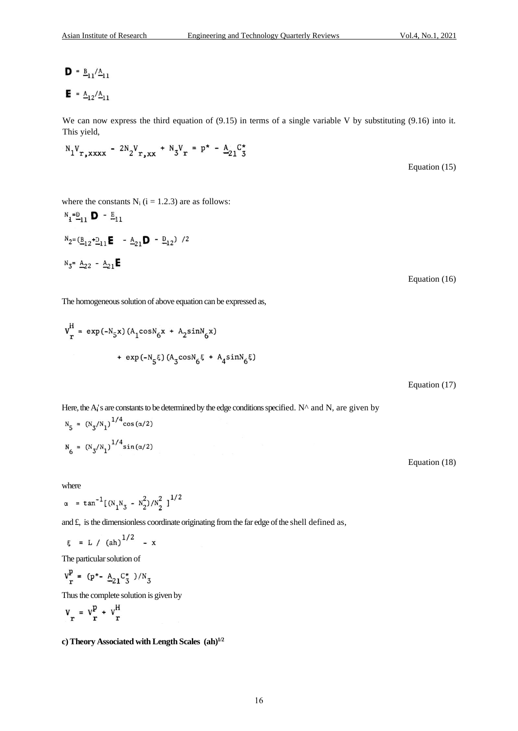$$
\mathbf{D} = \frac{B_{11}}{A_{11}}
$$
  

$$
\mathbf{E} = \frac{A_{12}}{A_{11}}
$$

We can now express the third equation of (9.15) in terms of a single variable V by substituting (9.16) into it. This yield,

$$
N_1V_{r,xxxx} - 2N_2V_{r,xx} + N_3V_r = p^* - A_{21}C_3^*
$$

Equation (15)

where the constants  $N_i$  ( $i = 1.2.3$ ) are as follows:  $N_e = D$   $D - E$ .

$$
{}_{1} - 11 \bullet - 11
$$
\n
$$
{}_{2} = (\underline{B}_{12} + \underline{D}_{11} \mathbf{E} - \underline{A}_{21} \mathbf{D} - \underline{D}_{12}) / 2
$$
\n
$$
{}_{3} = \underline{A}_{22} - \underline{A}_{21} \mathbf{E}
$$

Equation (16)

The homogeneous solution of above equation can be expressed as,

$$
v_r^H = \exp(-N_5 x) (A_1 \cos N_6 x + A_2 \sin N_6 x)
$$
  
+ 
$$
\exp(-N_5 \xi) (A_3 \cos N_6 \xi + A_4 \sin N_6 \xi)
$$

Equation (17)

Here, the  $A_i$ 's are constants to be determined by the edge conditions specified.  $N^{\wedge}$  and N, are given by

$$
N_5 = (N_3/N_1)^{1/4} \cos(\alpha/2)
$$
  

$$
N_6 = (N_3/N_1)^{1/4} \sin(\alpha/2)
$$

where

$$
\alpha = \tan^{-1}[(N_1N_3 - N_2^2)/N_2^2]^{1/2}
$$

and £, is the dimensionless coordinate originating from the far edge of the shell defined as,

$$
\xi = L / (ah)^{1/2} - x
$$

The particular solution of

$$
v_r^p = (p^* - \underline{A}_{21} C_3^*)/N_3
$$

Thus the complete solution is given by

$$
v_r = v_r^p + v_r^H
$$

**c) Theory Associated with Length Scales (ah)1/2** 

Equation (18)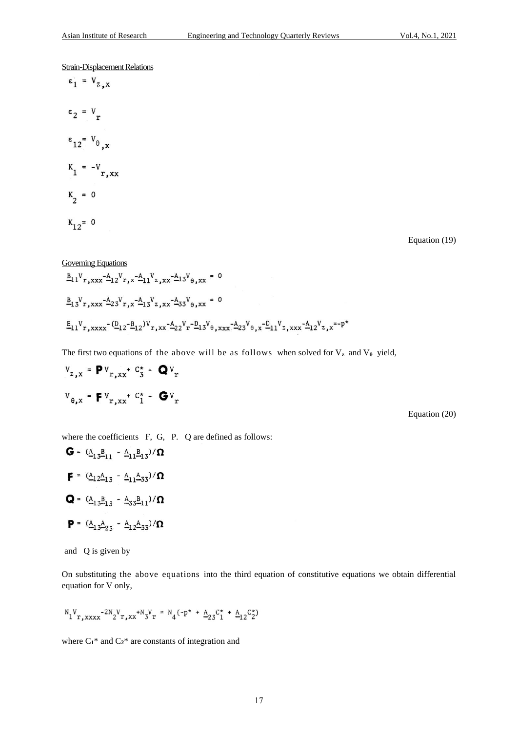Strain-Displacement Relations

$$
\varepsilon_1 = V_{z,x}
$$
  
\n
$$
\varepsilon_2 = V_r
$$
  
\n
$$
\varepsilon_{12} = V_{\theta,x}
$$
  
\n
$$
K_1 = -V_{r,xx}
$$
  
\n
$$
K_2 = 0
$$
  
\n
$$
K_{12} = 0
$$

Equation (19)

Governing Equations  
\n
$$
\underline{B}_{11}V_{r,xxx} - \underline{A}_{12}V_{r,x} + \underline{A}_{11}V_{z,xx} - \underline{A}_{13}V_{\theta,xx} = 0
$$
\n
$$
\underline{B}_{13}V_{r,xxx} - \underline{A}_{23}V_{r,x} + \underline{A}_{13}V_{z,xx} - \underline{A}_{33}V_{\theta,xx} = 0
$$
\n
$$
\underline{E}_{11}V_{r,xxxx} - (\underline{D}_{12} - \underline{B}_{12})V_{r,xx} - \underline{A}_{22}V_{r} - \underline{D}_{13}V_{\theta,xxx} - \underline{A}_{23}V_{\theta,x} - \underline{D}_{11}V_{z,xxx} - \underline{A}_{12}V_{z,x} = -p^{*}
$$

The first two equations of the above will be as follows when solved for  $V_z$  and  $V_\theta$  yield,

$$
v_{z,x} = \mathbf{P} v_{r,xx} + c_3^* - \mathbf{Q} v_r
$$

$$
v_{\theta,x} = \mathbf{F} v_{r,xx} + c_1^* - \mathbf{G} v_r
$$

Equation (20)

where the coefficients F, G, P. Q are defined as follows:

$$
G = (\underline{A}_{13}\underline{B}_{11} - \underline{A}_{11}\underline{B}_{13})/\Omega
$$
  
\n
$$
F = (\underline{A}_{12}\underline{A}_{13} - \underline{A}_{11}\underline{A}_{33})/\Omega
$$
  
\n
$$
Q = (\underline{A}_{13}\underline{B}_{13} - \underline{A}_{33}\underline{B}_{11})/\Omega
$$
  
\n
$$
P = (\underline{A}_{13}\underline{A}_{23} - \underline{A}_{12}\underline{A}_{33})/\Omega
$$

and Q is given by

 $\rightarrow$ 

On substituting the above equations into the third equation of constitutive equations we obtain differential equation for V only,

$$
N_1V_{r,xxxx}-2N_2V_{r,xx}+N_3V_r = N_4(-p^* + A_{23}C_1^* + A_{12}C_2^*)
$$

where  $C_1^*$  and  $C_2^*$  are constants of integration and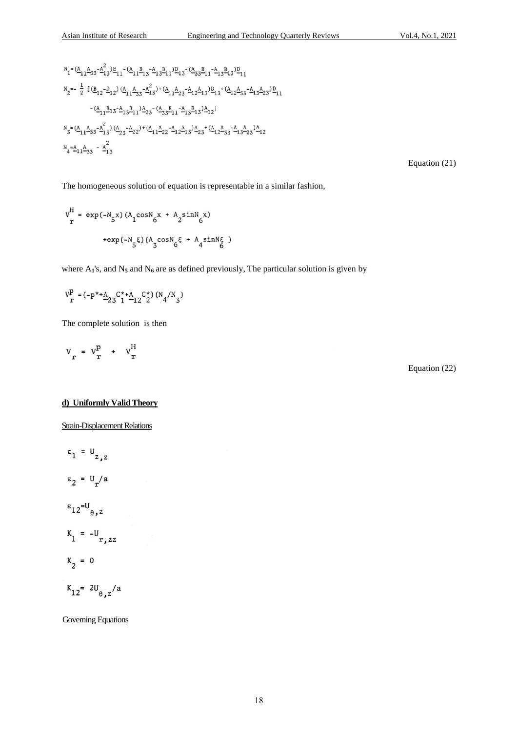$$
N_1 = (\underline{A}_{11}\underline{A}_{33} - \underline{A}_{13}^2)\underline{E}_{11} - (\underline{A}_{11}\underline{B}_{13} - \underline{A}_{13}\underline{B}_{11})\underline{D}_{13} - (\underline{A}_{33}\underline{B}_{11} - \underline{A}_{13}\underline{B}_{13})\underline{D}_{11}
$$
  
\n
$$
N_2 = -\frac{1}{2} [(\underline{B}_{12} - \underline{D}_{12}) (\underline{A}_{11}\underline{A}_{33} - \underline{A}_{13}^2)^+ (\underline{A}_{11}\underline{A}_{23} - \underline{A}_{12}\underline{A}_{13})\underline{D}_{13} + (\underline{A}_{12}\underline{A}_{33} - \underline{A}_{13}\underline{A}_{23})\underline{D}_{11}
$$
  
\n
$$
- (\underline{A}_{11}\underline{B}_{13} - \underline{A}_{13}\underline{B}_{11})\underline{A}_{23} - (\underline{A}_{33}\underline{B}_{11} - \underline{A}_{13}\underline{B}_{13})\underline{A}_{12}]
$$
  
\n
$$
N_3 = (\underline{A}_{11}\underline{A}_{33} - \underline{A}_{13}^2) (\underline{A}_{23} - \underline{A}_{22}) + (\underline{A}_{11}\underline{A}_{22} - \underline{A}_{12}\underline{A}_{13})\underline{A}_{23} + (\underline{A}_{12}\underline{A}_{33} - \underline{A}_{13}\underline{A}_{23})\underline{A}_{12}
$$
  
\n
$$
N_4 = \underline{A}_{11}\underline{A}_{33} - \underline{A}_{13}^2
$$

Equation (21)

The homogeneous solution of equation is representable in a similar fashion,

$$
v_r^H = \exp(-N_g x) (A_1 \cos N_g x + A_2 \sin N_g x)
$$
  
+  $\exp(-N_g \xi) (A_3 \cos N_g \xi + A_4 \sin N_g)$ 

where  $A_1$ 's, and  $N_5$  and  $N_6$  are as defined previously, The particular solution is given by

$$
\mathtt{V}_{\mathtt{r}}^{\text{p}} = (-\mathtt{p}^{\star\star\text{A}}\!\!-\!\! {}_{23}\mathtt{C}^{\star\star\text{A}}\!\!-\!\! {}_{12}\mathtt{C}^{\star}_2)\, (\mathtt{N}_4/\mathtt{N}_3)
$$

The complete solution is then

 $V_r = V_r^p + V_r^H$ 

Equation (22)

## **d) Uniformly Valid Theory**

Strain-Displacement Relations

$$
\varepsilon_{1} = U_{z, z}
$$
\n
$$
\varepsilon_{2} = U_{r}/a
$$
\n
$$
\varepsilon_{12} = U_{\theta, z}
$$
\n
$$
K_{1} = -U_{r, zz}
$$
\n
$$
K_{2} = 0
$$
\n
$$
K_{12} = 2U_{\theta, z}/a
$$

Governing Equations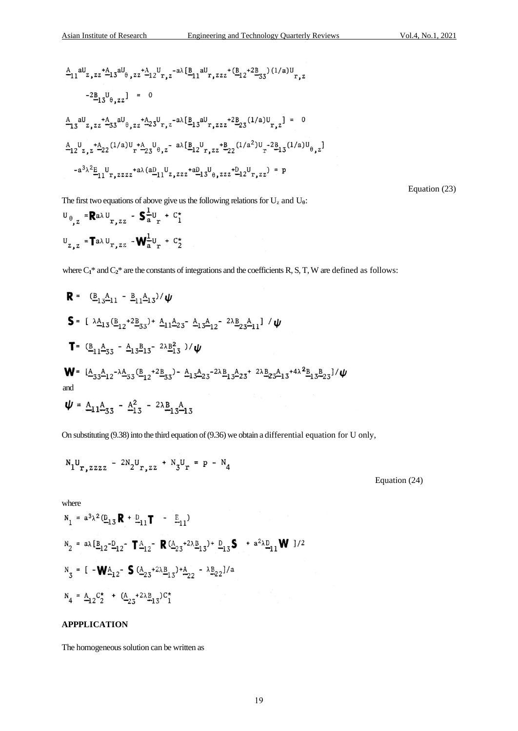$$
\begin{aligned}\n&\frac{A}{-11}aU_{z,zz} + \frac{A}{-13}aU_{\theta,zz} + \frac{A}{-12}U_{r,z} - a\lambda[\underline{B}_{11}aU_{r,zzz} + (\underline{B}_{12} + 2\underline{B}_{33}) (1/a)U_{r,z} \\
&\quad - 2\underline{B}_{13}U_{\theta,zz}1 = 0\n\end{aligned}
$$
\n
$$
\begin{aligned}\n&\frac{A}{-13}aU_{z,zz} + \frac{A}{-33}aU_{\theta,zz} + \frac{A}{-23}U_{r,z} - a\lambda[\underline{B}_{13}aU_{r,zzz} + 2\underline{B}_{23}(1/a)U_{r,z}] = 0 \\
&\quad - \frac{A}{-12}U_{z,z} + \frac{A}{-22}(1/a)U_{r} + \frac{A}{-23}U_{\theta,z} - a\lambda[\underline{B}_{12}U_{r,zzz} + \underline{B}_{22}(1/a^2)U_{r} - 2\underline{B}_{13}(1/a)U_{\theta,z}] \\
&\quad - a^{3}\lambda^{2}\underline{E}_{11}U_{r,zzzz} + a\lambda(a\underline{D}_{11}U_{z,zzz} + a\underline{D}_{13}U_{\theta,zzz} + \underline{D}_{12}U_{r,zz} - p\n\end{aligned}
$$

Equation (23)

The first two equations of above give us the following relations for U<sub>z</sub> and U<sub>0</sub>:<br>  $U_{\Omega} = \mathbf{R} a \lambda U$   $\mathbf{S} = \mathbf{L} u + \mathbf{C}^*$ 

$$
U_{z, z} = \text{T} a \lambda U_{r, zz} - \text{W}^{1}_{a} U_{r} + C_{2}^{\star}
$$

where  $C_1^*$  and  $C_2^*$  are the constants of integrations and the coefficients R, S, T, W are defined as follows:

$$
\mathbf{R} = (\underline{B}_{13}\underline{A}_{11} - \underline{B}_{11}\underline{A}_{13})/\psi
$$
\n
$$
\mathbf{S} = [\lambda \underline{A}_{13} (\underline{B}_{12} + 2 \underline{B}_{33}) + \underline{A}_{11}\underline{A}_{23} - \underline{A}_{13}\underline{A}_{12} - 2\lambda \underline{B}_{23}\underline{A}_{11}] / \psi
$$
\n
$$
\mathbf{T} = (\underline{B}_{11}\underline{A}_{33} - \underline{A}_{13}\underline{B}_{13} - 2\lambda \underline{B}_{13}^2) / \psi
$$
\n
$$
\mathbf{W} = [\underline{A}_{33}\underline{A}_{12} - \lambda \underline{A}_{33} (\underline{B}_{12} + 2 \underline{B}_{33}) - \underline{A}_{13}\underline{A}_{23} - 2\lambda \underline{B}_{13}\underline{A}_{23} + 2\lambda \underline{B}_{23}\underline{A}_{13} + 4\lambda^2 \underline{B}_{13}\underline{B}_{23}]/\psi
$$
\nand\n
$$
\psi = \underline{A}_{11}\underline{A}_{33} - \underline{A}_{13}^2 - 2\lambda \underline{B}_{13}\underline{A}_{13}
$$

On substituting (9.38) into the third equation of (9.36) we obtain a differential equation for U only,

$$
N_1U_{r,zzzz}
$$
 -  $2N_2U_{r,zz}$  +  $N_3U_r$  = p -  $N_4$ 

Equation (24)

where

$$
N_1 = a^3 \lambda^2 (\underline{D}_{13} \mathbf{R} + \underline{D}_{11} \mathbf{T} - \underline{E}_{11})
$$
  
\n
$$
N_2 = a \lambda [\underline{B}_{12} - \underline{D}_{12} - \mathbf{T} \underline{A}_{12} - \mathbf{R} (\underline{A}_{23} + 2\lambda \underline{B}_{13}) + \underline{D}_{13} \mathbf{S} + a^2 \lambda \underline{D}_{11} \mathbf{W} ]/2
$$
  
\n
$$
N_3 = [\mathbf{-W} \underline{A}_{12} - \mathbf{S} (\underline{A}_{23} + 2\lambda \underline{B}_{13}) + \underline{A}_{22} - \lambda \underline{B}_{22}] / a
$$
  
\n
$$
N_4 = \underline{A}_{12} C_2^* + (\underline{A}_{23} + 2\lambda \underline{B}_{13}) C_1^*
$$

#### **APPPLICATION**

The homogeneous solution can be written as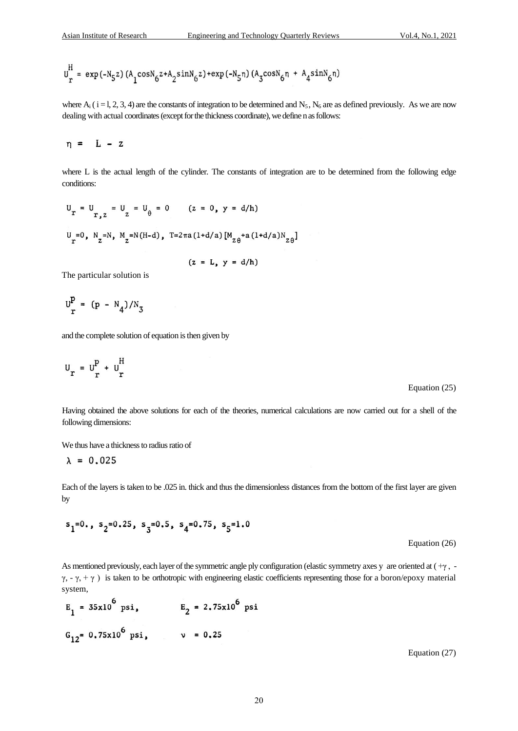$$
U_{r}^{\rm H}=\exp\left(-N_5z\right)\left(A_{1}^{\rm cosN}6z+A_{2}^{\rm sinN}6z\right)+\exp\left(-N_5n\right)\left(A_{3}^{\rm cosN}6n\ +\ A_{4}^{\rm sinN}6n\right)
$$

where  $A_i$  ( i = l, 2, 3, 4) are the constants of integration to be determined and  $N_5$ ,  $N_6$  are as defined previously. As we are now dealing with actual coordinates (except for the thickness coordinate), we define n as follows:

$$
\eta = L - z
$$

where L is the actual length of the cylinder. The constants of integration are to be determined from the following edge conditions:

$$
U_r = U_{r, z} = U_z = U_{\theta} = 0 \t (z = 0, y = d/h)
$$
  

$$
U_r = 0, N_z = N, M_z = N(H - d), T = 2\pi a (1 + d/a) [M_{z\theta} + a (1 + d/a)N_{z\theta}]
$$

 $(z = L, y = d/h)$ 

The particular solution is

$$
U_{r}^{P} = (p - N_{4})/N_{3}
$$

and the complete solution of equation is then given by

$$
U_r = U_r^P + U_r^H
$$

Equation (25)

Having obtained the above solutions for each of the theories, numerical calculations are now carried out for a shell of the following dimensions:

We thus have a thickness to radius ratio of

$$
\lambda = 0.025
$$

Each of the layers is taken to be .025 in. thick and thus the dimensionless distances from the bottom of the first layer are given by

$$
s_1=0., \; s_2=0.25, \; s_3=0.5, \; s_4=0.75, \; s_5=1.0
$$

Equation (26)

As mentioned previously, each layer of the symmetric angle ply configuration (elastic symmetry axes y are oriented at ( +γ , γ, - γ, + γ) is taken to be orthotropic with engineering elastic coefficients representing those for a boron/epoxy material system,

$$
E_1 = 35x10^6
$$
 psi,  $E_2 = 2.75x10^6$  psi  
 $G_{12} = 0.75x10^6$  psi,  $v = 0.25$ 

Equation (27)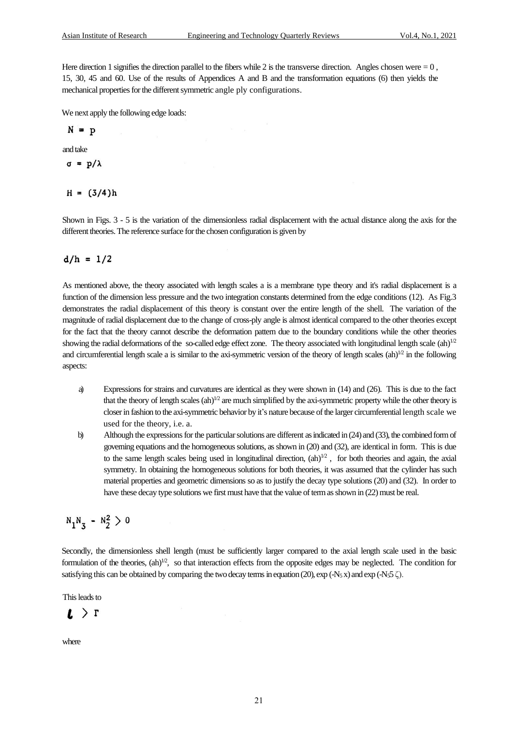Here direction 1 signifies the direction parallel to the fibers while 2 is the transverse direction. Angles chosen were  $= 0$ , 15, 30, 45 and 60. Use of the results of Appendices A and B and the transformation equations (6) then yields the mechanical properties for the different symmetric angle ply configurations.

We next apply the following edge loads:

$$
N = p
$$

and take

$$
\sigma = p/\lambda
$$

 $H = (3/4)h$ 

Shown in Figs. 3 - 5 is the variation of the dimensionless radial displacement with the actual distance along the axis for the different theories. The reference surface for the chosen configuration is given by

## $d/h = 1/2$

As mentioned above, the theory associated with length scales a is a membrane type theory and it's radial displacement is a function of the dimension less pressure and the two integration constants determined from the edge conditions (12). As Fig.3 demonstrates the radial displacement of this theory is constant over the entire length of the shell. The variation of the magnitude of radial displacement due to the change of cross-ply angle is almost identical compared to the other theories except for the fact that the theory cannot describe the deformation pattern due to the boundary conditions while the other theories showing the radial deformations of the so-called edge effect zone. The theory associated with longitudinal length scale  $(ah)^{1/2}$ and circumferential length scale a is similar to the axi-symmetric version of the theory of length scales  $(ah)^{1/2}$  in the following aspects:

- a) Expressions for strains and curvatures are identical as they were shown in (14) and (26). This is due to the fact that the theory of length scales  $(ah)^{1/2}$  are much simplified by the axi-symmetric property while the other theory is closer in fashion to the axi-symmetric behavior by it's nature because of the larger circumferential length scale we used for the theory, i.e. a.
- b) Although the expressions for the particular solutions are different as indicated in (24) and (33), the combined form of governing equations and the homogeneous solutions, as shown in (20) and (32), are identical in form. This is due to the same length scales being used in longitudinal direction,  $(ah)^{1/2}$ , for both theories and again, the axial symmetry. In obtaining the homogeneous solutions for both theories, it was assumed that the cylinder has such material properties and geometric dimensions so as to justify the decay type solutions (20) and (32). In order to have these decay type solutions we first must have that the value of term as shown in (22) must be real.

$$
N_1N_3 - N_2^2 > 0
$$

Secondly, the dimensionless shell length (must be sufficiently larger compared to the axial length scale used in the basic formulation of the theories,  $(ah)^{1/2}$ , so that interaction effects from the opposite edges may be neglected. The condition for satisfying this can be obtained by comparing the two decay terms in equation (20),  $\exp(-N_5 x)$  and  $\exp(-N_5 5 \zeta)$ .

This leads to

$$
\iota \!\!\! \iota \!\!\! \iota \!\!\! \iota \!\!\! \iota
$$

where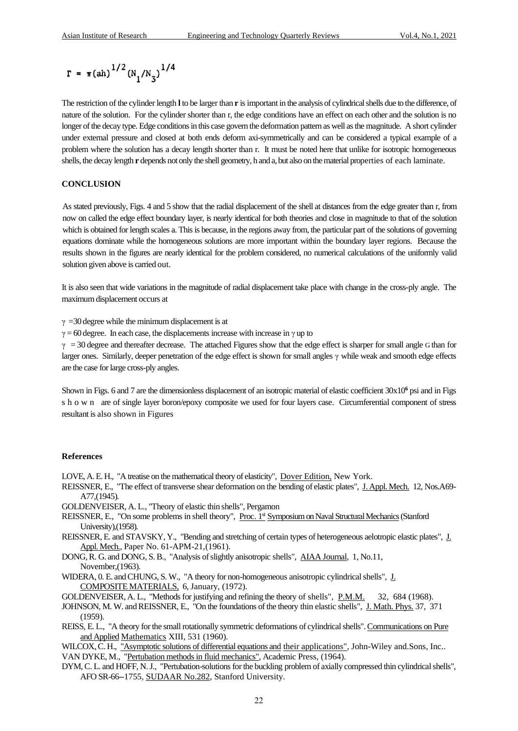$$
\Gamma = \pi (\text{ah})^{1/2} (N_1/N_3)^{1/4}
$$

The restriction of the cylinder length **l**to be larger than **r** is important in the analysis of cylindrical shells due to the difference, of nature of the solution. For the cylinder shorter than r, the edge conditions have an effect on each other and the solution is no longer of the decay type. Edge conditions in this case govern the deformation pattern as well as the magnitude. A short cylinder under external pressure and closed at both ends deform axi-symmetrically and can be considered a typical example of a problem where the solution has a decay length shorter than r. It must be noted here that unlike for isotropic homogeneous shells, the decay length **r** depends not only the shell geometry, h and a, but also on the material properties of each laminate.

#### **CONCLUSION**

As stated previously, Figs. 4 and 5 show that the radial displacement of the shell at distances from the edge greater than r, from now on called the edge effect boundary layer, is nearly identical for both theories and close in magnitude to that of the solution which is obtained for length scales a. This is because, in the regions away from, the particular part of the solutions of governing equations dominate while the homogeneous solutions are more important within the boundary layer regions. Because the results shown in the figures are nearly identical for the problem considered, no numerical calculations of the uniformly valid solution given above is carried out.

It is also seen that wide variations in the magnitude of radial displacement take place with change in the cross-ply angle. The maximum displacement occurs at

 $\gamma$  =30 degree while the minimum displacement is at

 $\gamma = 60$  degree. In each case, the displacements increase with increase in  $\gamma$  up to

 $\gamma$  = 30 degree and thereafter decrease. The attached Figures show that the edge effect is sharper for small angle G than for larger ones. Similarly, deeper penetration of the edge effect is shown for small angles γ while weak and smooth edge effects are the case for large cross-ply angles.

Shown in Figs. 6 and 7 are the dimensionless displacement of an isotropic material of elastic coefficient 30x10**<sup>6</sup>** psi and in Figs s h o w n are of single layer boron/epoxy composite we used for four layers case. Circumferential component of stress resultant is also shown in Figures

# **References**

LOVE, A. E. H., "A treatise on the mathematical theory of elasticity", Dover Edition, New York.

- REISSNER, E., "The effect of transverse shear deformation on the bending of elastic plates", J. Appl. Mech. 12, Nos.A69- A77,(1945).
- GOLDENVEISER, A. L., "Theory of elastic thin shells", Pergamon
- REISSNER, E., "On some problems in shell theory", Proc. 1<sup>st</sup> Symposium on Naval Structural Mechanics (Stanford University),(1958).
- REISSNER, E. and STAVSKY, Y., "Bending and stretching of certain types of heterogeneous aelotropic elastic plates", J. Appl. Mech., Paper No. 61-APM-21,(1961).
- DONG, R. G. and DONG, S. B., "Analysis of slightly anisotropic shells", AIAA Journal, 1, No.11, November,(1963).
- WIDERA, 0. E. and CHUNG, S. W., "A theory for non-homogeneous anisotropic cylindrical shells", J. COMPOSITE MATERIALS, 6, January, (1972).
- GOLDENVEISER, A. L., "Methods for justifying and refining the theory of shells", P.M.M. 32, 684 (1968).
- JOHNSON, M. W. and REISSNER, E., "On the foundations of the theory thin elastic shells", J. Math. Phys. 37, 371  $(1959)$ .
- REISS, E. L., "A theory for the small rotationally symmetric deformations of cylindrical shells". Communications on Pure and Applied Mathematics XIII, 531 (1960).
- WILCOX, C. H., "Asymptotic solutions of differential equations and their applications", John-Wiley and.Sons, Inc.. VAN DYKE, M., "Pertubation methods in fluid mechanics", Academic Press, (1964).
- DYM, C. L. and HOFF, N. J., "Pertubation-solutions for the buckling problem of axially compressed thin cylindrical shells", AFO SR-66--1755, SUDAAR No.282, Stanford University.